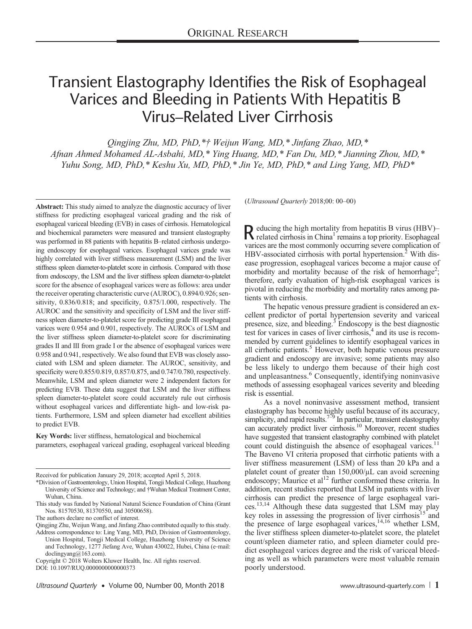# Transient Elastography Identifies the Risk of Esophageal Varices and Bleeding in Patients With Hepatitis B Virus–Related Liver Cirrhosis

Qingjing Zhu, MD, PhD,\*† Weijun Wang, MD,\* Jinfang Zhao, MD,\* Afnan Ahmed Mohamed AL-Asbahi, MD,\* Ying Huang, MD,\* Fan Du, MD,\* Jianning Zhou, MD,\* Yuhu Song, MD, PhD,\* Keshu Xu, MD, PhD,\* Jin Ye, MD, PhD,\* and Ling Yang, MD, PhD\*

Abstract: This study aimed to analyze the diagnostic accuracy of liver stiffness for predicting esophageal variceal grading and the risk of esophageal variceal bleeding (EVB) in cases of cirrhosis. Hematological and biochemical parameters were measured and transient elastography was performed in 88 patients with hepatitis B–related cirrhosis undergoing endoscopy for esophageal varices. Esophageal varices grade was highly correlated with liver stiffness measurement (LSM) and the liver stiffness spleen diameter-to-platelet score in cirrhosis. Compared with those from endoscopy, the LSM and the liver stiffness spleen diameter-to-platelet score for the absence of esophageal varices were as follows: area under the receiver operating characteristic curve (AUROC), 0.894/0.926; sensitivity, 0.836/0.818; and specificity, 0.875/1.000, respectively. The AUROC and the sensitivity and specificity of LSM and the liver stiffness spleen diameter-to-platelet score for predicting grade III esophageal varices were 0.954 and 0.901, respectively. The AUROCs of LSM and the liver stiffness spleen diameter-to-platelet score for discriminating grades II and III from grade I or the absence of esophageal varices were 0.958 and 0.941, respectively. We also found that EVB was closely associated with LSM and spleen diameter. The AUROC, sensitivity, and specificity were 0.855/0.819, 0.857/0.875, and 0.747/0.780, respectively. Meanwhile, LSM and spleen diameter were 2 independent factors for predicting EVB. These data suggest that LSM and the liver stiffness spleen diameter-to-platelet score could accurately rule out cirrhosis without esophageal varices and differentiate high- and low-risk patients. Furthermore, LSM and spleen diameter had excellent abilities to predict EVB.

Key Words: liver stiffness, hematological and biochemical parameters, esophageal variceal grading, esophageal variceal bleeding

Received for publication January 29, 2018; accepted April 5, 2018.

(Ultrasound Quarterly 2018;00: 00–00)

Reducing the high mortality from hepatitis B virus (HBV)–<br>related cirrhosis in China<sup>1</sup> remains a top priority. Esophageal varices are the most commonly occurring severe complication of HBV-associated cirrhosis with portal hypertension.<sup>2</sup> With disease progression, esophageal varices become a major cause of morbidity and mortality because of the risk of hemorrhage<sup>2</sup>; therefore, early evaluation of high-risk esophageal varices is pivotal in reducing the morbidity and mortality rates among patients with cirrhosis.

The hepatic venous pressure gradient is considered an excellent predictor of portal hypertension severity and variceal presence, size, and bleeding. $3 \text{ Endoscopy}$  is the best diagnostic test for varices in cases of liver cirrhosis,<sup>4</sup> and its use is recommended by current guidelines to identify esophageal varices in all cirrhotic patients.<sup>5</sup> However, both hepatic venous pressure gradient and endoscopy are invasive; some patients may also be less likely to undergo them because of their high cost and unpleasantness.<sup>6</sup> Consequently, identifying noninvasive methods of assessing esophageal varices severity and bleeding risk is essential.

As a novel noninvasive assessment method, transient elastography has become highly useful because of its accuracy, simplicity, and rapid results.<sup>7–9</sup> In particular, transient elastography can accurately predict liver cirrhosis.<sup>10</sup> Moreover, recent studies have suggested that transient elastography combined with platelet count could distinguish the absence of esophageal varices.<sup>11</sup> The Baveno VI criteria proposed that cirrhotic patients with a liver stiffness measurement (LSM) of less than 20 kPa and a platelet count of greater than 150,000/μL can avoid screening endoscopy; Maurice et  $al<sup>12</sup>$  further conformed these criteria. In addition, recent studies reported that LSM in patients with liver cirrhosis can predict the presence of large esophageal varices.13,14 Although these data suggested that LSM may play key roles in assessing the progression of liver cirrhosis<sup>15</sup> and the presence of large esophageal varices,<sup>14,16</sup> whether LSM, the liver stiffness spleen diameter-to-platelet score, the platelet count/spleen diameter ratio, and spleen diameter could predict esophageal varices degree and the risk of variceal bleeding as well as which parameters were most valuable remain poorly understood.

<sup>\*</sup>Division of Gastroenterology, Union Hospital, Tongji Medical College, Huazhong University of Science and Technology; and †Wuhan Medical Treatment Center, Wuhan, China.

This study was funded by National Natural Science Foundation of China (Grant Nos. 81570530, 81370550, and 30500658).

The authors declare no conflict of interest.

Qingjing Zhu, Weijun Wang, and Jinfang Zhao contributed equally to this study. Address correspondence to: Ling Yang, MD, PhD, Division of Gastroenterology, Union Hospital, Tongji Medical College, Huazhong University of Science

and Technology, 1277 Jiefang Ave, Wuhan 430022, Hubei, China (e‐mail: [doclingyang@163.com](mailto:doclingyang@163.com)).

Copyright © 2018 Wolters Kluwer Health, Inc. All rights reserved.

DOI: 10.1097/RUQ.0000000000000373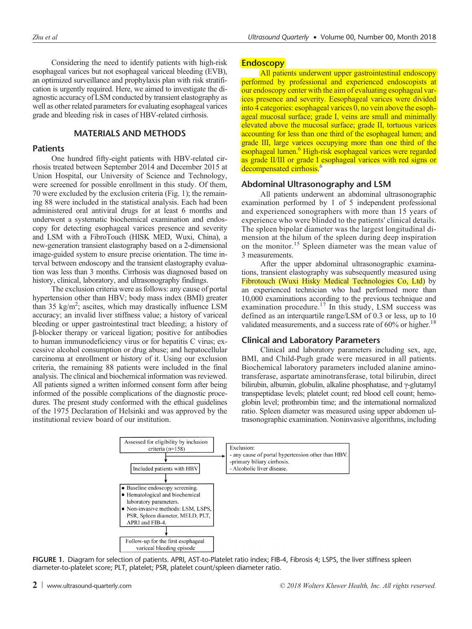Considering the need to identify patients with high-risk esophageal varices but not esophageal variceal bleeding (EVB), an optimized surveillance and prophylaxis plan with risk stratification is urgently required. Here, we aimed to investigate the diagnostic accuracy of LSM conducted by transient elastography as well as other related parameters for evaluating esophageal varices grade and bleeding risk in cases of HBV-related cirrhosis.

# MATERIALS AND METHODS

# **Patients**

One hundred fifty-eight patients with HBV-related cirrhosis treated between September 2014 and December 2015 at Union Hospital, our University of Science and Technology, were screened for possible enrollment in this study. Of them, 70 were excluded by the exclusion criteria (Fig. 1); the remaining 88 were included in the statistical analysis. Each had been administered oral antiviral drugs for at least 6 months and underwent a systematic biochemical examination and endoscopy for detecting esophageal varices presence and severity and LSM with a FibroTouch (HISK MED, Wuxi, China), a new-generation transient elastography based on a 2-dimensional image-guided system to ensure precise orientation. The time interval between endoscopy and the transient elastography evaluation was less than 3 months. Cirrhosis was diagnosed based on history, clinical, laboratory, and ultrasonography findings.

The exclusion criteria were as follows: any cause of portal hypertension other than HBV; body mass index (BMI) greater than 35 kg/m<sup>2</sup>; ascites, which may drastically influence LSM accuracy; an invalid liver stiffness value; a history of variceal bleeding or upper gastrointestinal tract bleeding; a history of β-blocker therapy or variceal ligation; positive for antibodies to human immunodeficiency virus or for hepatitis C virus; excessive alcohol consumption or drug abuse; and hepatocellular carcinoma at enrollment or history of it. Using our exclusion criteria, the remaining 88 patients were included in the final analysis. The clinical and biochemical information was reviewed. All patients signed a written informed consent form after being informed of the possible complications of the diagnostic procedures. The present study conformed with the ethical guidelines of the 1975 Declaration of Helsinki and was approved by the institutional review board of our institution.

# **Endoscopy**

All patients underwent upper gastrointestinal endoscopy performed by professional and experienced endoscopists at our endoscopy center with the aim of evaluating esophageal varices presence and severity. Eesophageal varices were divided into 4 categories: esophageal varices 0, no vein above the esophageal mucosal surface; grade I, veins are small and minimally elevated above the mucosal surface; grade II, tortuous varices accounting for less than one third of the esophageal lumen; and grade III, large varices occupying more than one third of the esophageal lumen.<sup>6</sup> High-risk esophageal varices were regarded as grade II/III or grade I esophageal varices with red signs or decompensated cirrhosis.<sup>6</sup>

### Abdominal Ultrasonography and LSM

All patients underwent an abdominal ultrasonographic examination performed by 1 of 5 independent professional and experienced sonographers with more than 15 years of experience who were blinded to the patients' clinical details. The spleen bipolar diameter was the largest longitudinal dimension at the hilum of the spleen during deep inspiration on the monitor.<sup>15</sup> Spleen diameter was the mean value of 3 measurements.

After the upper abdominal ultrasonographic examinations, transient elastography was subsequently measured using Fibrotouch (Wuxi Hisky Medical Technologies Co, Ltd) by an experienced technician who had performed more than 10,000 examinations according to the previous technique and examination procedure.<sup>17</sup> In this study, LSM success was defined as an interquartile range/LSM of 0.3 or less, up to 10 validated measurements, and a success rate of  $60\%$  or higher.<sup>18</sup>

## Clinical and Laboratory Parameters

Clinical and laboratory parameters including sex, age, BMI, and Child-Pugh grade were measured in all patients. Biochemical laboratory parameters included alanine aminotransferase, aspartate aminotransferase, total bilirubin, direct bilirubin, albumin, globulin, alkaline phosphatase, and γ-glutamyl transpeptidase levels; platelet count; red blood cell count; hemoglobin level; prothrombin time; and the international normalized ratio. Spleen diameter was measured using upper abdomen ultrasonographic examination. Noninvasive algorithms, including



FIGURE 1. Diagram for selection of patients. APRI, AST-to-Platelet ratio index; FIB-4, Fibrosis 4; LSPS, the liver stiffness spleen diameter-to-platelet score; PLT, platelet; PSR, platelet count/spleen diameter ratio.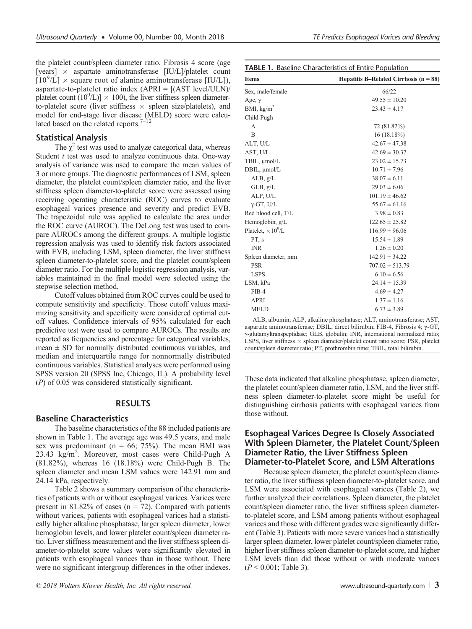the platelet count/spleen diameter ratio, Fibrosis 4 score (age [years]  $\times$  aspartate aminotransferase [IU/L]/platelet count  $\left[\frac{10^9}{L}\right] \times$  square root of alanine aminotransferase  $\left[\frac{I}{L}\right]$ aspartate-to-platelet ratio index  $(APRI = [(AST level/ULN)/$ platelet count  $(10^9/L)] \times 100$ , the liver stiffness spleen diameterto-platelet score (liver stiffness  $\times$  spleen size/platelets), and model for end-stage liver disease (MELD) score were calculated based on the related reports.<sup>7–12</sup>

# Statistical Analysis

The  $\chi^2$  test was used to analyze categorical data, whereas Student  $t$  test was used to analyze continuous data. One-way analysis of variance was used to compare the mean values of 3 or more groups. The diagnostic performances of LSM, spleen diameter, the platelet count/spleen diameter ratio, and the liver stiffness spleen diameter-to-platelet score were assessed using receiving operating characteristic (ROC) curves to evaluate esophageal varices presence and severity and predict EVB. The trapezoidal rule was applied to calculate the area under the ROC curve (AUROC). The DeLong test was used to compare AUROCs among the different groups. A multiple logistic regression analysis was used to identify risk factors associated with EVB, including LSM, spleen diameter, the liver stiffness spleen diameter-to-platelet score, and the platelet count/spleen diameter ratio. For the multiple logistic regression analysis, variables maintained in the final model were selected using the stepwise selection method.

Cutoff values obtained from ROC curves could be used to compute sensitivity and specificity. Those cutoff values maximizing sensitivity and specificity were considered optimal cutoff values. Confidence intervals of 95% calculated for each predictive test were used to compare AUROCs. The results are reported as frequencies and percentage for categorical variables, mean  $\pm$  SD for normally distributed continuous variables, and median and interquartile range for nonnormally distributed continuous variables. Statistical analyses were performed using SPSS version 20 (SPSS Inc, Chicago, IL). A probability level (P) of 0.05 was considered statistically significant.

#### RESULTS

## Baseline Characteristics

The baseline characteristics of the 88 included patients are shown in Table 1. The average age was 49.5 years, and male sex was predominant ( $n = 66$ ; 75%). The mean BMI was 23.43 kg/m<sup>2</sup>. Moreover, most cases were Child-Pugh A (81.82%), whereas 16 (18.18%) were Child-Pugh B. The spleen diameter and mean LSM values were 142.91 mm and 24.14 kPa, respectively.

Table 2 shows a summary comparison of the characteristics of patients with or without esophageal varices. Varices were present in 81.82% of cases ( $n = 72$ ). Compared with patients without varices, patients with esophageal varices had a statistically higher alkaline phosphatase, larger spleen diameter, lower hemoglobin levels, and lower platelet count/spleen diameter ratio. Liver stiffness measurement and the liver stiffness spleen diameter-to-platelet score values were significantly elevated in patients with esophageal varices than in those without. There were no significant intergroup differences in the other indexes.

|  | TE Predicts Esophageal Varices and Bleeding |  |  |
|--|---------------------------------------------|--|--|
|  |                                             |  |  |

| <b>TABLE 1. Baseline Characteristics of Entire Population</b> |                                            |  |  |  |
|---------------------------------------------------------------|--------------------------------------------|--|--|--|
| <b>Items</b>                                                  | Hepatitis B-Related Cirrhosis ( $n = 88$ ) |  |  |  |
| Sex, male/female                                              | 66/22                                      |  |  |  |
| Age, y                                                        | $49.55 \pm 10.20$                          |  |  |  |
| BMI, $kg/m2$                                                  | $23.43 \pm 4.17$                           |  |  |  |
| Child-Pugh                                                    |                                            |  |  |  |
| A                                                             | 72 (81.82%)                                |  |  |  |
| B                                                             | $16(18.18\%)$                              |  |  |  |
| ALT, U/L                                                      | $42.67 \pm 47.38$                          |  |  |  |
| AST, U/L                                                      | $42.69 \pm 30.32$                          |  |  |  |
| TBIL, µmol/L                                                  | $23.02 \pm 15.73$                          |  |  |  |
| $DBIL$ , $\mu$ mol/ $L$                                       | $10.71 \pm 7.96$                           |  |  |  |
| ALB, $g/L$                                                    | $38.07 \pm 6.11$                           |  |  |  |
| $GLB$ , $g/L$                                                 | $29.03 \pm 6.06$                           |  |  |  |
| ALP, U/L                                                      | $101.19 \pm 46.62$                         |  |  |  |
| $\gamma$ -GT, U/L                                             | $55.67 \pm 61.16$                          |  |  |  |
| Red blood cell, T/L                                           | $3.98 \pm 0.83$                            |  |  |  |
| Hemoglobin, g/L                                               | $122.65 \pm 25.82$                         |  |  |  |
| Platelet, $\times 10^9$ /L                                    | $116.99 \pm 96.06$                         |  |  |  |
| PT, s                                                         | $15.54 \pm 1.89$                           |  |  |  |
| <b>INR</b>                                                    | $1.26 \pm 0.20$                            |  |  |  |
| Spleen diameter, mm                                           | $142.91 \pm 34.22$                         |  |  |  |
| <b>PSR</b>                                                    | $707.02 \pm 513.79$                        |  |  |  |
| <b>LSPS</b>                                                   | $6.10 \pm 6.56$                            |  |  |  |
| LSM, kPa                                                      | $24.14 \pm 15.39$                          |  |  |  |
| FIB-4                                                         | $4.69 \pm 4.27$                            |  |  |  |
| APRI                                                          | $1.37 \pm 1.16$                            |  |  |  |
| <b>MELD</b>                                                   | $6.73 \pm 3.89$                            |  |  |  |

ALB, albumin; ALP, alkaline phosphatase; ALT, aminotransferase; AST, aspartate aminotransferase; DBIL, direct bilirubin; FIB-4, Fibrosis 4; γ-GT, γ-glutamyltranspeptidase; GLB, globulin; INR, international normalized ratio; LSPS, liver stiffness  $\times$  spleen diameter/platelet count ratio score; PSR, platelet count/spleen diameter ratio; PT, prothrombin time; TBIL, total bilirubin.

These data indicated that alkaline phosphatase, spleen diameter, the platelet count/spleen diameter ratio, LSM, and the liver stiffness spleen diameter-to-platelet score might be useful for distinguishing cirrhosis patients with esophageal varices from those without.

# Esophageal Varices Degree Is Closely Associated With Spleen Diameter, the Platelet Count/Spleen Diameter Ratio, the Liver Stiffness Spleen Diameter-to-Platelet Score, and LSM Alterations

Because spleen diameter, the platelet count/spleen diameter ratio, the liver stiffness spleen diameter-to-platelet score, and LSM were associated with esophageal varices (Table 2), we further analyzed their correlations. Spleen diameter, the platelet count/spleen diameter ratio, the liver stiffness spleen diameterto-platelet score, and LSM among patients without esophageal varices and those with different grades were significantly different (Table 3). Patients with more severe varices had a statistically larger spleen diameter, lower platelet count/spleen diameter ratio, higher liver stiffness spleen diameter-to-platelet score, and higher LSM levels than did those without or with moderate varices  $(P < 0.001$ ; Table 3).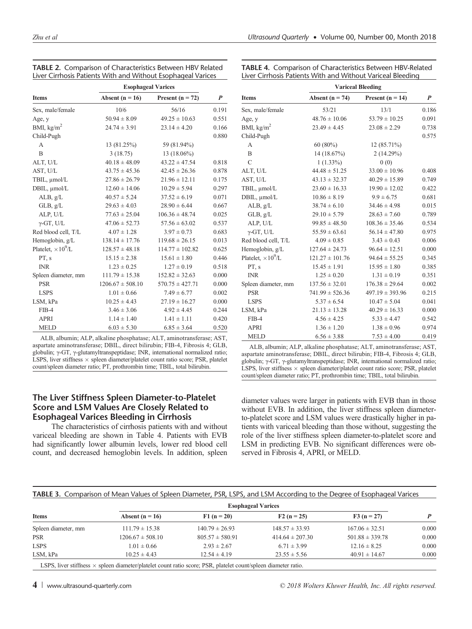|                            | <b>Esophageal Varices</b> |                      |                  |
|----------------------------|---------------------------|----------------------|------------------|
| <b>Items</b>               | Absent ( $n = 16$ )       | Present ( $n = 72$ ) | $\boldsymbol{P}$ |
| Sex, male/female           | 10/6                      | 56/16                | 0.191            |
| Age, y                     | $50.94 \pm 8.09$          | $49.25 \pm 10.63$    | 0.551            |
| BMI, $\text{kg/m}^2$       | $24.74 \pm 3.91$          | $23.14 \pm 4.20$     | 0.166            |
| Child-Pugh                 |                           |                      | 0.880            |
| A                          | 13 (81.25%)               | 59 (81.94%)          |                  |
| $\overline{B}$             | 3(18.75)                  | 13 (18.06%)          |                  |
| ALT, U/L                   | $40.18 \pm 48.09$         | $43.22 \pm 47.54$    | 0.818            |
| AST, U/L                   | $43.75 \pm 45.36$         | $42.45 \pm 26.36$    | 0.878            |
| TBIL, µmol/L               | $27.86 \pm 26.79$         | $21.96 \pm 12.11$    | 0.175            |
| DBIL, µmol/L               | $12.60 \pm 14.06$         | $10.29 \pm 5.94$     | 0.297            |
| ALB, g/L                   | $40.57 \pm 5.24$          | $37.52 \pm 6.19$     | 0.071            |
| $GLB$ , $g/L$              | $29.63 \pm 4.03$          | $28.90 \pm 6.44$     | 0.667            |
| ALP, U/L                   | $77.63 \pm 25.04$         | $106.36 \pm 48.74$   | 0.025            |
| $\gamma$ -GT, U/L          | $47.06 \pm 52.73$         | $57.56 \pm 63.02$    | 0.537            |
| Red blood cell, T/L        | $4.07 \pm 1.28$           | $3.97 \pm 0.73$      | 0.683            |
| Hemoglobin, g/L            | $138.14 \pm 17.76$        | $119.68 \pm 26.15$   | 0.013            |
| Platelet, $\times 10^9$ /L | $128.57 \pm 48.18$        | $114.77 \pm 102.82$  | 0.625            |
| PT, s                      | $15.15 \pm 2.38$          | $15.61 \pm 1.80$     | 0.446            |
| <b>INR</b>                 | $1.23 \pm 0.25$           | $1.27 \pm 0.19$      | 0.518            |
| Spleen diameter, mm        | $111.79 \pm 15.38$        | $152.82 \pm 32.63$   | 0.000            |
| <b>PSR</b>                 | $1206.67 \pm 508.10$      | $570.75 \pm 427.71$  | 0.000            |
| <b>LSPS</b>                | $1.01 \pm 0.66$           | $7.49 \pm 6.77$      | 0.002            |
| LSM, kPa                   | $10.25 \pm 4.43$          | $27.19 \pm 16.27$    | 0.000            |
| $FIB-4$                    | $3.46 \pm 3.06$           | $4.92 \pm 4.45$      | 0.244            |
| <b>APRI</b>                | $1.14 \pm 1.40$           | $1.41 \pm 1.11$      | 0.420            |
| <b>MELD</b>                | $6.03 \pm 5.30$           | $6.85 \pm 3.64$      | 0.520            |

The Liver Stiffness Spleen Diameter-to-Platelet Score and LSM Values Are Closely Related to Esophageal Varices Bleeding in Cirrhosis

The characteristics of cirrhosis patients with and without variceal bleeding are shown in Table 4. Patients with EVB had significantly lower albumin levels, lower red blood cell count, and decreased hemoglobin levels. In addition, spleen

#### mparison of Characteristics Between HBV-Related Patients With and Without Variceal Bleeding

|                            | <b>Variceal Bleeding</b> |                      |                  |  |
|----------------------------|--------------------------|----------------------|------------------|--|
| <b>Items</b>               | Absent ( $n = 74$ )      | Present ( $n = 14$ ) | $\boldsymbol{P}$ |  |
| Sex, male/female           | 53/21                    | 13/1                 | 0.186            |  |
| Age, y                     | $48.76 \pm 10.06$        | $53.79 \pm 10.25$    | 0.091            |  |
| BMI, $\text{kg/m}^2$       | $23.49 \pm 4.45$         | $23.08 \pm 2.29$     | 0.738            |  |
| Child-Pugh                 |                          |                      | 0.575            |  |
| A                          | $60(80\%)$               | $12(85.71\%)$        |                  |  |
| $\overline{B}$             | 14 (18.67%)              | 2(14.29%)            |                  |  |
| $\mathcal{C}$              | $1(1.33\%)$              | 0(0)                 |                  |  |
| ALT, U/L                   | $44.48 \pm 51.25$        | $33.00 \pm 10.96$    | 0.408            |  |
| AST, U/L                   | $43.13 \pm 32.37$        | $40.29 \pm 15.89$    | 0.749            |  |
| TBIL, µmol/L               | $23.60 \pm 16.33$        | $19.90 \pm 12.02$    | 0.422            |  |
| DBIL, µmol/L               | $10.86 \pm 8.19$         | $9.9 \pm 6.75$       | 0.681            |  |
| ALB, g/L                   | $38.74 \pm 6.10$         | $34.46 \pm 4.98$     | 0.015            |  |
| $GLB$ , $g/L$              | $29.10 \pm 5.79$         | $28.63 \pm 7.60$     | 0.789            |  |
| ALP, U/L                   | $99.85 \pm 48.50$        | $108.36 \pm 35.46$   | 0.534            |  |
| $\gamma$ -GT, U/L          | $55.59 \pm 63.61$        | $56.14 \pm 47.80$    | 0.975            |  |
| Red blood cell, T/L        | $4.09 \pm 0.85$          | $3.43 \pm 0.43$      | 0.006            |  |
| Hemoglobin, g/L            | $127.64 \pm 24.73$       | $96.64 \pm 12.51$    | 0.000            |  |
| Platelet, $\times 10^9$ /L | $121.27 \pm 101.76$      | $94.64 \pm 55.25$    | 0.345            |  |
| PT, s                      | $15.45 \pm 1.91$         | $15.95 \pm 1.80$     | 0.385            |  |
| <b>INR</b>                 | $1.25 \pm 0.20$          | $1.31 \pm 0.19$      | 0.351            |  |
| Spleen diameter, mm        | $137.56 \pm 32.01$       | $176.38 \pm 29.64$   | 0.002            |  |
| <b>PSR</b>                 | $741.99 \pm 526.36$      | $497.19 \pm 393.96$  | 0.215            |  |
| <b>LSPS</b>                | $5.37 \pm 6.54$          | $10.47 \pm 5.04$     | 0.041            |  |
| LSM, kPa                   | $21.13 \pm 13.28$        | $40.29 \pm 16.33$    | 0.000            |  |
| $FIB-4$                    | $4.56 \pm 4.25$          | $5.33 \pm 4.47$      | 0.542            |  |
| <b>APRI</b>                | $1.36 \pm 1.20$          | $1.38 \pm 0.96$      | 0.974            |  |
| <b>MELD</b>                | $6.56 \pm 3.88$          | $7.53 \pm 4.00$      | 0.419            |  |

ALB, albumin; ALP, alkaline phosphatase; ALT, aminotransferase; AST, aspartate aminotransferase; DBIL, direct bilirubin; FIB-4, Fibrosis 4; GLB, globulin; γ-GT, γ-glutamyltranspeptidase; INR, international normalized ratio; LSPS, liver stiffness  $\times$  spleen diameter/platelet count ratio score; PSR, platelet count/spleen diameter ratio; PT, prothrombin time; TBIL, total bilirubin.

## diameter values were larger in patients with EVB than in those without EVB. In addition, the liver stiffness spleen diameterto-platelet score and LSM values were drastically higher in patients with variceal bleeding than those without, suggesting the role of the liver stiffness spleen diameter-to-platelet score and LSM in predicting EVB. No significant differences were observed in Fibrosis 4, APRI, or MELD.

|                     | <b>Esophageal Varices</b> |                     |                     |                     |       |
|---------------------|---------------------------|---------------------|---------------------|---------------------|-------|
| <b>Items</b>        | Absent $(n = 16)$         | $F1(n = 20)$        | $F2(n = 25)$        | $F3(n = 27)$        |       |
| Spleen diameter, mm | $111.79 \pm 15.38$        | $140.79 \pm 26.93$  | $148.57 \pm 33.93$  | $167.06 \pm 32.51$  | 0.000 |
| PSR                 | $1206.67 \pm 508.10$      | $805.57 \pm 580.91$ | $414.64 \pm 207.30$ | $501.88 \pm 339.78$ | 0.000 |
| <b>LSPS</b>         | $1.01 \pm 0.66$           | $2.93 \pm 2.67$     | $6.71 \pm 3.99$     | $12.16 \pm 8.25$    | 0.000 |
| LSM, kPa            | $10.25 \pm 4.43$          | $12.54 \pm 4.19$    | $23.55 \pm 5.56$    | $40.91 \pm 14.67$   | 0.000 |

LSPS, liver stiffness  $\times$  spleen diameter/platelet count ratio score; PSR, platelet count/spleen diameter ratio.

| TABLE 2. Comparison of Characteristics Between HBV Related   | <b>TABLE 4. Cor</b> |
|--------------------------------------------------------------|---------------------|
| Liver Cirrhosis Patients With and Without Esophageal Varices | Liver Cirrhosis     |

| APRI        | $1.14 \pm 1.40$                                                                                                                                                                                                                                                                                                                                                                                            | $1.41 \pm 1.11$ | 0.420 |
|-------------|------------------------------------------------------------------------------------------------------------------------------------------------------------------------------------------------------------------------------------------------------------------------------------------------------------------------------------------------------------------------------------------------------------|-----------------|-------|
| <b>MELD</b> | $6.03 \pm 5.30$                                                                                                                                                                                                                                                                                                                                                                                            | $6.85 \pm 3.64$ | 0.520 |
|             | ALB, albumin; ALP, alkaline phosphatase; ALT, aminotransferase; AST,<br>spartate aminotransferase; DBIL, direct bilirubin; FIB-4, Fibrosis 4; GLB,<br>lobulin; γ-GT, γ-glutamyltranspeptidase; INR, international normalized ratio;<br>SPS, liver stiffness $\times$ spleen diameter/platelet count ratio score; PSR, platelet<br>bunt/spleen diameter ratio; PT, prothrombin time; TBIL, total bilirubin. |                 |       |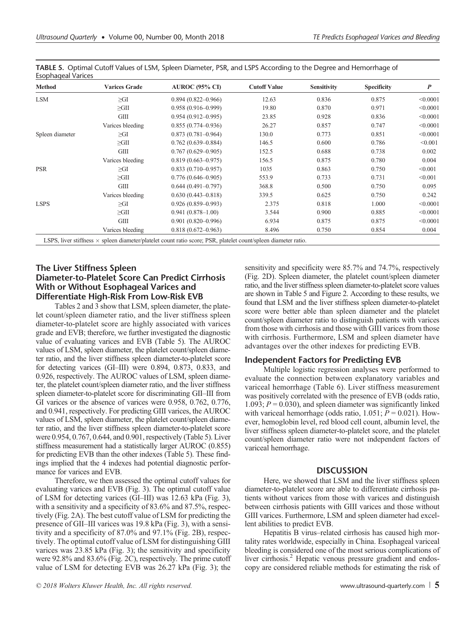| <b>Method</b>   | <b>Varices Grade</b> | <b>AUROC (95% CI)</b>                                                                                                 | <b>Cutoff Value</b> | <b>Sensitivity</b> | <b>Specificity</b> | $\boldsymbol{P}$ |
|-----------------|----------------------|-----------------------------------------------------------------------------------------------------------------------|---------------------|--------------------|--------------------|------------------|
| LSM             | $\geq$ GI            | $0.894(0.822 - 0.966)$                                                                                                | 12.63               | 0.836              | 0.875              | < 0.0001         |
|                 | $\geq$ GII           | $0.958(0.916 - 0.999)$                                                                                                | 19.80               | 0.870              | 0.971              | < 0.0001         |
|                 | <b>GIII</b>          | $0.954(0.912-0.995)$                                                                                                  | 23.85               | 0.928              | 0.836              | < 0.0001         |
|                 | Varices bleeding     | $0.855(0.774 - 0.936)$                                                                                                | 26.27               | 0.857              | 0.747              | < 0.0001         |
| Spleen diameter | $\geq$ GI            | $0.873(0.781 - 0.964)$                                                                                                | 130.0               | 0.773              | 0.851              | < 0.0001         |
|                 | $\geq$ GII           | $0.762(0.639 - 0.884)$                                                                                                | 146.5               | 0.600              | 0.786              | < 0.001          |
|                 | <b>GIII</b>          | $0.767(0.629 - 0.905)$                                                                                                | 152.5               | 0.688              | 0.738              | 0.002            |
|                 | Varices bleeding     | $0.819(0.663 - 0.975)$                                                                                                | 156.5               | 0.875              | 0.780              | 0.004            |
| <b>PSR</b>      | $\geq$ GI            | $0.833(0.710-0.957)$                                                                                                  | 1035                | 0.863              | 0.750              | < 0.001          |
|                 | $\geq$ GII           | $0.776(0.646 - 0.905)$                                                                                                | 553.9               | 0.733              | 0.731              | < 0.001          |
|                 | <b>GIII</b>          | $0.644(0.491 - 0.797)$                                                                                                | 368.8               | 0.500              | 0.750              | 0.095            |
|                 | Varices bleeding     | $0.630(0.443 - 0.818)$                                                                                                | 339.5               | 0.625              | 0.750              | 0.242            |
| <b>LSPS</b>     | $\geq$ GI            | $0.926(0.859 - 0.993)$                                                                                                | 2.375               | 0.818              | 1.000              | < 0.0001         |
|                 | $\geq$ GII           | $0.941(0.878 - 1.00)$                                                                                                 | 3.544               | 0.900              | 0.885              | < 0.0001         |
|                 | <b>GIII</b>          | $0.901(0.820 - 0.996)$                                                                                                | 6.934               | 0.875              | 0.875              | < 0.0001         |
|                 | Varices bleeding     | $0.818(0.672 - 0.963)$                                                                                                | 8.496               | 0.750              | 0.854              | 0.004            |
|                 |                      | LSPS, liver stiffness $\times$ spleen diameter/platelet count ratio score; PSR, platelet count/spleen diameter ratio. |                     |                    |                    |                  |

TABLE 5. Optimal Cutoff Values of LSM, Spleen Diameter, PSR, and LSPS According to the Degree and Hemorrhage of Esophageal Varice

# The Liver Stiffness Spleen Diameter-to-Platelet Score Can Predict Cirrhosis With or Without Esophageal Varices and Differentiate High-Risk From Low-Risk EVB

Tables 2 and 3 show that LSM, spleen diameter, the platelet count/spleen diameter ratio, and the liver stiffness spleen diameter-to-platelet score are highly associated with varices grade and EVB; therefore, we further investigated the diagnostic value of evaluating varices and EVB (Table 5). The AUROC values of LSM, spleen diameter, the platelet count/spleen diameter ratio, and the liver stiffness spleen diameter-to-platelet score for detecting varices (GI–III) were 0.894, 0.873, 0.833, and 0.926, respectively. The AUROC values of LSM, spleen diameter, the platelet count/spleen diameter ratio, and the liver stiffness spleen diameter-to-platelet score for discriminating GII–III from GI varices or the absence of varices were 0.958, 0.762, 0.776, and 0.941, respectively. For predicting GIII varices, the AUROC values of LSM, spleen diameter, the platelet count/spleen diameter ratio, and the liver stiffness spleen diameter-to-platelet score were 0.954, 0.767, 0.644, and 0.901, respectively (Table 5). Liver stiffness measurement had a statistically larger AUROC (0.855) for predicting EVB than the other indexes (Table 5). These findings implied that the 4 indexes had potential diagnostic performance for varices and EVB.

Therefore, we then assessed the optimal cutoff values for evaluating varices and EVB (Fig. 3). The optimal cutoff value of LSM for detecting varices (GI–III) was 12.63 kPa (Fig. 3), with a sensitivity and a specificity of 83.6% and 87.5%, respectively (Fig. 2A). The best cutoff value of LSM for predicting the presence of GII–III varices was 19.8 kPa (Fig. 3), with a sensitivity and a specificity of 87.0% and 97.1% (Fig. 2B), respectively. The optimal cutoff value of LSM for distinguishing GIII varices was 23.85 kPa (Fig. 3); the sensitivity and specificity were 92.8% and 83.6% (Fig. 2C), respectively. The prime cutoff value of LSM for detecting EVB was 26.27 kPa (Fig. 3); the sensitivity and specificity were 85.7% and 74.7%, respectively (Fig. 2D). Spleen diameter, the platelet count/spleen diameter ratio, and the liver stiffness spleen diameter-to-platelet score values are shown in Table 5 and Figure 2. According to these results, we found that LSM and the liver stiffness spleen diameter-to-platelet score were better able than spleen diameter and the platelet count/spleen diameter ratio to distinguish patients with varices from those with cirrhosis and those with GIII varices from those with cirrhosis. Furthermore, LSM and spleen diameter have advantages over the other indexes for predicting EVB.

# Independent Factors for Predicting EVB

Multiple logistic regression analyses were performed to evaluate the connection between explanatory variables and variceal hemorrhage (Table 6). Liver stiffness measurement was positively correlated with the presence of EVB (odds ratio, 1.093;  $P = 0.030$ , and spleen diameter was significantly linked with variceal hemorrhage (odds ratio,  $1.051$ ;  $P = 0.021$ ). However, hemoglobin level, red blood cell count, albumin level, the liver stiffness spleen diameter-to-platelet score, and the platelet count/spleen diameter ratio were not independent factors of variceal hemorrhage.

# **DISCUSSION**

Here, we showed that LSM and the liver stiffness spleen diameter-to-platelet score are able to differentiate cirrhosis patients without varices from those with varices and distinguish between cirrhosis patients with GIII varices and those without GIII varices. Furthermore, LSM and spleen diameter had excellent abilities to predict EVB.

Hepatitis B virus–related cirrhosis has caused high mortality rates worldwide, especially in China. Esophageal variceal bleeding is considered one of the most serious complications of liver cirrhosis.<sup>2</sup> Hepatic venous pressure gradient and endoscopy are considered reliable methods for estimating the risk of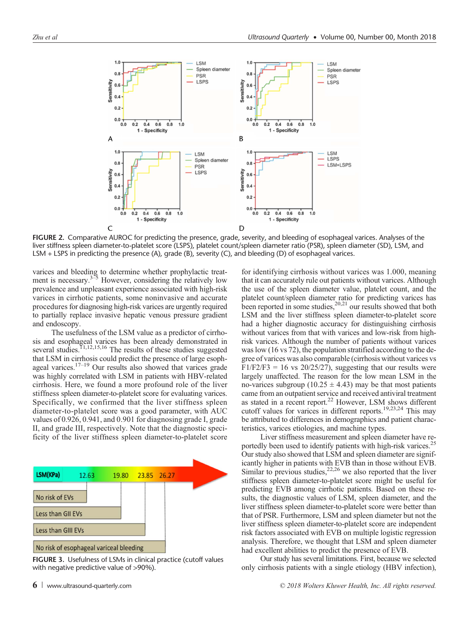

FIGURE 2. Comparative AUROC for predicting the presence, grade, severity, and bleeding of esophageal varices. Analyses of the liver stiffness spleen diameter-to-platelet score (LSPS), platelet count/spleen diameter ratio (PSR), spleen diameter (SD), LSM, and LSM + LSPS in predicting the presence (A), grade (B), severity (C), and bleeding (D) of esophageal varices.

varices and bleeding to determine whether prophylactic treatment is necessary. $3\frac{3}{5}$  However, considering the relatively low prevalence and unpleasant experience associated with high-risk varices in cirrhotic patients, some noninvasive and accurate procedures for diagnosing high-risk varices are urgently required to partially replace invasive hepatic venous pressure gradient and endoscopy.

The usefulness of the LSM value as a predictor of cirrhosis and esophageal varices has been already demonstrated in several studies.<sup>11,12,15,16</sup> The results of these studies suggested that LSM in cirrhosis could predict the presence of large esophageal varices. $17-19$  Our results also showed that varices grade was highly correlated with LSM in patients with HBV-related cirrhosis. Here, we found a more profound role of the liver stiffness spleen diameter-to-platelet score for evaluating varices. Specifically, we confirmed that the liver stiffness spleen diameter-to-platelet score was a good parameter, with AUC values of 0.926, 0.941, and 0.901 for diagnosing grade I, grade II, and grade III, respectively. Note that the diagnostic specificity of the liver stiffness spleen diameter-to-platelet score



FIGURE 3. Usefulness of LSMs in clinical practice (cutoff values with negative predictive value of >90%).

for identifying cirrhosis without varices was 1.000, meaning that it can accurately rule out patients without varices. Although the use of the spleen diameter value, platelet count, and the platelet count/spleen diameter ratio for predicting varices has been reported in some studies,  $20,21$  our results showed that both LSM and the liver stiffness spleen diameter-to-platelet score had a higher diagnostic accuracy for distinguishing cirrhosis without varices from that with varices and low-risk from highrisk varices. Although the number of patients without varices was low (16 vs 72), the population stratified according to the degree of varices was also comparable (cirrhosis without varices vs  $F1/F2/F3 = 16$  vs 20/25/27), suggesting that our results were largely unaffected. The reason for the low mean LSM in the no-varices subgroup (10.25  $\pm$  4.43) may be that most patients came from an outpatient service and received antiviral treatment as stated in a recent report.<sup>22</sup> However, LSM shows different cutoff values for varices in different reports.<sup>19,23,24</sup> This may be attributed to differences in demographics and patient characteristics, varices etiologies, and machine types.

Liver stiffness measurement and spleen diameter have reportedly been used to identify patients with high-risk varices.<sup>25</sup> Our study also showed that LSM and spleen diameter are significantly higher in patients with EVB than in those without EVB. Similar to previous studies,  $22,26$  we also reported that the liver stiffness spleen diameter-to-platelet score might be useful for predicting EVB among cirrhotic patients. Based on these results, the diagnostic values of LSM, spleen diameter, and the liver stiffness spleen diameter-to-platelet score were better than that of PSR. Furthermore, LSM and spleen diameter but not the liver stiffness spleen diameter-to-platelet score are independent risk factors associated with EVB on multiple logistic regression analysis. Therefore, we thought that LSM and spleen diameter had excellent abilities to predict the presence of EVB.

Our study has several limitations. First, because we selected only cirrhosis patients with a single etiology (HBV infection),